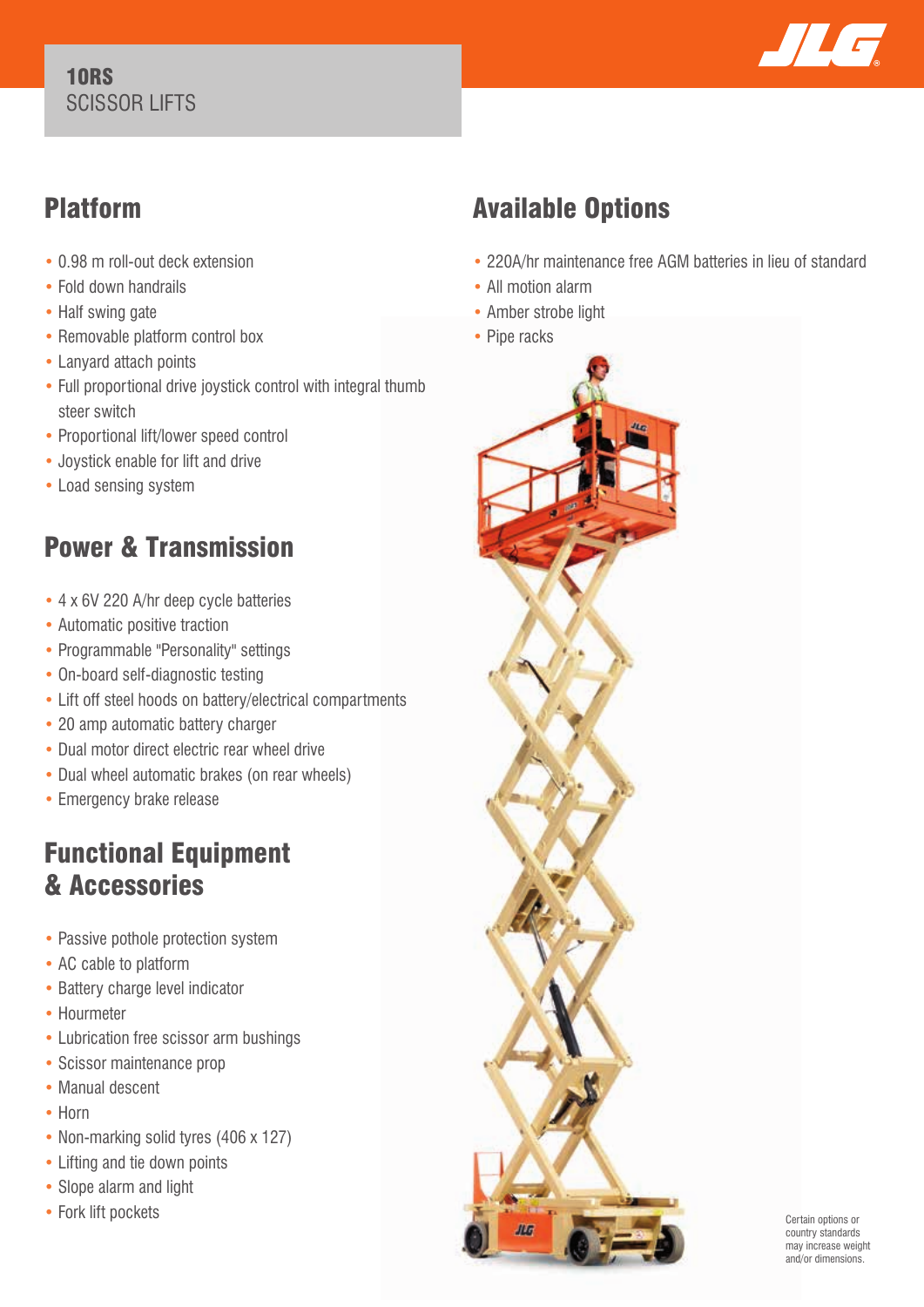#### 10RS SCISSOR LIFTS



## Platform

- 0.98 m roll-out deck extension
- Fold down handrails
- Half swing gate
- Removable platform control box
- Lanyard attach points
- Full proportional drive joystick control with integral thumb steer switch
- Proportional lift/lower speed control
- Joystick enable for lift and drive
- Load sensing system

## Power & Transmission

- 4 x 6V 220 A/hr deep cycle batteries
- Automatic positive traction
- Programmable "Personality" settings
- On-board self-diagnostic testing
- Lift off steel hoods on battery/electrical compartments
- 20 amp automatic battery charger
- Dual motor direct electric rear wheel drive
- Dual wheel automatic brakes (on rear wheels)
- Emergency brake release

### Functional Equipment & Accessories

- Passive pothole protection system
- AC cable to platform
- Battery charge level indicator
- Hourmeter
- Lubrication free scissor arm bushings
- Scissor maintenance prop
- Manual descent
- Horn
- Non-marking solid tyres (406 x 127)
- Lifting and tie down points
- Slope alarm and light
- Fork lift pockets

# Available Options

- 220A/hr maintenance free AGM batteries in lieu of standard
- All motion alarm
- Amber strobe light
- Pipe racks



Certain options or country standards may increase weight and/or dimensions.